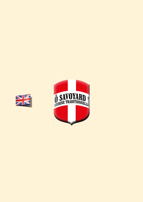

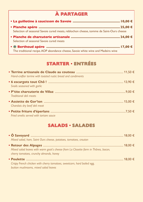# À PARTAGER

| Selection of seasonal Savoie cured meats, reblochon cheese, tomme de Saint-Ours cheese |  |
|----------------------------------------------------------------------------------------|--|
| Selection of seasonal Savoie cured meats                                               |  |
| The traditional recipe. AOP abondance cheese, Savoie white wine and Madeira wine       |  |

# STARTER · ENTRÉES

| Hand-crafter terrine with toasted rustic bread and condiments |  |
|---------------------------------------------------------------|--|
| Snails seasoned with garlic                                   |  |
| Traditional deli meats                                        |  |
| Charolais dry beef deli meat                                  |  |
| Fried smelts served with tartare sauce                        |  |

### SALADS · SALADES

| Mixed salad, ham, Saint Ours cheese, potatoes, tomatoes, crouton                                                              |  |
|-------------------------------------------------------------------------------------------------------------------------------|--|
|                                                                                                                               |  |
| Mixed salad leaves with warm goat's cheese from La Closette farm in Thônes, bacon,<br>cherry tomatoes, crunchy almonds, honey |  |
|                                                                                                                               |  |
| Crispy French chicken with cherry tomatoes, sweetcorn, hard boiled egg,                                                       |  |
| button mushrooms, mixed salad leaves                                                                                          |  |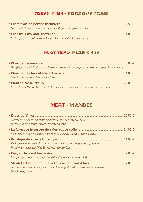# FRESH FISH • POISSONS FRAIS

| Fresh fillet of perch, served in the pan with fresh cut fries and salad |  |
|-------------------------------------------------------------------------|--|
|                                                                         |  |
| Grilled fresh Charfish, seasonal vegetables, served with sauce vierge   |  |

### PLATTERS. PLANCHES

| Tartiflette with AOP reblochon cheese, artisanal diot sausage, pork caïon fricassee, Savoie polenta |  |
|-----------------------------------------------------------------------------------------------------|--|
| Selection of seasonal Savoie cured meats                                                            |  |
| Duet of ham Maison Baud. Reblochon cheese. Saint-Ours cheese, mixed salad leaves                    |  |

### MEAT . VIANDES

| Traditional artisanal Savoyard sausages made by Maxence Baud,<br>served in a wine sauce, onions, creamy polenta                |  |
|--------------------------------------------------------------------------------------------------------------------------------|--|
|                                                                                                                                |  |
| Pork stew in red wine sauce, mushrooms, shallots, bacon, creamy polenta                                                        |  |
| Veal escalope, artisanal ham and creamy mushrooms, topped with gratinated<br>Farmhouse reblochon AOP. Served with French fries |  |
| Hangersteak béarnaise sauce. Served with French fries and salad                                                                |  |
| Tartare of raw beef meat, Saint Ours cheese, prepared and seasoned in kitchen<br>French fries, salad                           |  |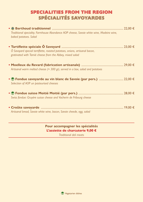# SPECIALITIES FROM THE REGION SPÉCIALITÉS SAVOYARDES

| Traditional speciality. Farmhouse Abondance AOP cheese, Savoie white wine, Madeira wine,<br>baked potatoes. Salad                      |  |
|----------------------------------------------------------------------------------------------------------------------------------------|--|
| Ô Savoyard special tartiflette, roasted potatoes, onions, artisanal bacon,<br>gratinated with Tamié cheese from the Abbey, mixed salad |  |
| Artisanal warm melted cheese ( $\approx$ 300 gr), served in a box, salad and potatoes                                                  |  |
| Selection of AOP un pasteurised cheeses                                                                                                |  |
| Swiss fondue: Gruyère suisse cheese and Vacherin de Fribourg cheese                                                                    |  |
| Artisanal bread, Savoie white wine, bacon, Savoie cheede, egg, salad                                                                   |  |

#### Pour accompagner les spécialités L'assiette de charcuterie 9,00 €

Traditional deli meats

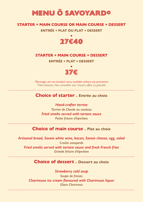# **MENU Ô SAVOYARD\***

#### **STARTER + MAIN COURSE OR MAIN COURSE + DESSERT**

**ENTRÉE + PLAT OU PLAT + DESSERT**



#### **STARTER + MAIN COURSE + DESSERT**

**ENTRÉE + PLAT + DESSERT**



*\*Beverages are not included, menu available without any promotions \*Hors boissons. Non cumulable avec d'autres offres ou gratuités*

#### **Choice of starter . Entrée au choix**

*Hand-crafter terrine Terrine de Claude au couteau Fried smelts served with tartare sauce Petite friture d'éperlans*

#### **Choice of main course . Plat au choix**

*Artisanal bread, Savoie white wine, bacon, Savoie cheese, egg, salad Croûte savoyarde Fried smelts served with tartare sauce and fresh French fries Grande friture d'éperlans*

#### **Choice of dessert . Dessert au choix**

*Strawberry cold soup Soupe de fraises Chartreuse ice cream flavoured with Chartreuse liquor Glace Chartreux*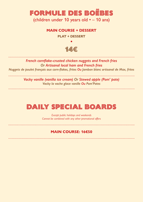# **FORMULE DES BOËBES** (children under 10 years old • – 10 ans)

#### **MAIN COURSE + DESSERT**

**PLAT + DESSERT**

# **14€**

**•**

*French cornflake-crusted chicken nuggets and French fries Or Artisanal local ham and French fries Nuggets de poulet français aux corn-flakes, frites Ou Jambon blanc artisanal de Max, frites*

> *Vacky vanille (vanilla ice cream) Or Stewed apple (Pom' pote) Vacky la vache glace vanille Ou Pom'Potes*

> > . . . . . . . . . . . . . . . . . . . .

# **DAILY SPECIAL BOARDS**

*Except public holidays and weekends Cannot be combined with any other promotional offers*

#### **MAIN COURSE: 16€50**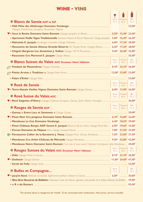#### WINE . VINS

 $\blacksquare$ 

|                                                                                                                                                      | Y                         |                                                         |               |
|------------------------------------------------------------------------------------------------------------------------------------------------------|---------------------------|---------------------------------------------------------|---------------|
|                                                                                                                                                      | Verre                     | Chopine                                                 | <b>Blle</b>   |
| * Blancs de Savoie AOP et IGP                                                                                                                        | 15 <sub>cl</sub>          | 46 cl                                                   | 75 cl         |
| Cépages Chardonnay, Sauvignon, Roussanne, Viognier                                                                                                   |                           |                                                         | 22,00€        |
|                                                                                                                                                      |                           |                                                         |               |
| • Apremont Vieille Vigne Traditionnelle Domaine Masson le Roi de l'Apremont. Cépage Jacquère 5,80 <sup>€</sup> 16,30 <sup>€</sup> 26,50 <sup>€</sup> |                           |                                                         |               |
|                                                                                                                                                      |                           |                                                         |               |
| • Roussette de Savoie Altesse Grande Réserve Par Nicolas Perret. Cépage Altesse 6,20 <sup>€</sup> 17,20 <sup>€</sup> 28,00 <sup>€</sup>              |                           |                                                         |               |
|                                                                                                                                                      |                           |                                                         |               |
|                                                                                                                                                      |                           |                                                         | 35,00€        |
|                                                                                                                                                      | Verre                     | Chopine                                                 | <b>Blle</b>   |
| <b>* Blancs Suisses du Valais AOC Encaveur Henri Valloton</b>                                                                                        | $15$ cl                   | $46$ cl                                                 | 75 cl         |
|                                                                                                                                                      |                           |                                                         |               |
|                                                                                                                                                      |                           |                                                         |               |
|                                                                                                                                                      |                           |                                                         | 53,00€        |
|                                                                                                                                                      | Verre                     | Chopine                                                 | <b>Blle</b>   |
| * Rosé de Savoie                                                                                                                                     | 15 <sub>cl</sub>          | 46 cl                                                   | 75 cl         |
|                                                                                                                                                      |                           | $6,00^{\epsilon}$ 15,90 <sup>€</sup> 26,00 <sup>€</sup> |               |
| * Rosé Suisse du Valais AOC                                                                                                                          | Verre<br>15 <sub>cl</sub> | Chopine<br>46 cl                                        | Blle<br>75 cl |
|                                                                                                                                                      |                           |                                                         |               |
|                                                                                                                                                      | Verre                     | Chopine                                                 | <b>Blle</b>   |
| * Rouges de Savoie AOP                                                                                                                               | $15$ cl                   | 46 cl                                                   | 75 cl         |
|                                                                                                                                                      |                           |                                                         |               |
| $\blacktriangledown$ • Pinot Noir Cru Jongieux Domaine Saint-Romain <b>Commain 2008</b> 16,10 <sup>€</sup> 16,00 <sup>€</sup> 26,00 <sup>€</sup>     |                           |                                                         |               |
|                                                                                                                                                      |                           |                                                         |               |
| • Pinot Château Bergin AOP Savoie E. Jacquin Élevé en fût de chêne. Cépage Pinot Noir 6,90 <sup>€</sup> 19,60 <sup>€</sup> 32,00 <sup>€</sup>        |                           |                                                         |               |
|                                                                                                                                                      |                           |                                                         |               |
| <b>E</b> • Paroxysme Cellier de la Baraterie J. Viana Cépages Pinot, Gamay, Mondeuse  7,50 <sup>€</sup> 23,00 <sup>€</sup> 37,50 <sup>€</sup>        |                           |                                                         |               |
|                                                                                                                                                      |                           |                                                         |               |
| • Mondeuse Noire Domaine Saint-Romain C'est rare et nous avons l'honneur de proposer cette Mondeuse 49,00€                                           |                           |                                                         |               |
| <b>* Rouges Suisses du Valais AOC Encaveur Henri Valloton</b>                                                                                        |                           | Verre Chopine Blle<br>15 cl 46 cl 75 cl                 |               |
|                                                                                                                                                      |                           |                                                         |               |
|                                                                                                                                                      |                           |                                                         |               |
|                                                                                                                                                      |                           |                                                         |               |
| * Bulles et Compagnie                                                                                                                                |                           | Verre Blle<br>12 cl 75 cl                               |               |
|                                                                                                                                                      |                           |                                                         |               |
|                                                                                                                                                      |                           |                                                         |               |
| • Bleu Brut Besserat de Bellefon L'historique Cuvée des Moines, signature, intemporelle de la Maison Besserat de Bellefon 79,00 <sup>€</sup>         |                           |                                                         | 95,00€        |
|                                                                                                                                                      |                           |                                                         |               |

The alcohol abuse is dangerous for health. To be consumed with moderation. Net prices, service included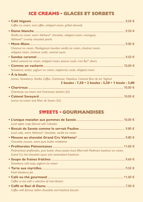# ICE CREAMS . GLACES ET SORBETS

| Coffee ice cream, iced coffee, whipped cream, grilled almonds                           |  |
|-----------------------------------------------------------------------------------------|--|
|                                                                                         |  |
| Vanilla ice cream, warm Valrhona® chocolate, whipped cream, meringues,                  |  |
| Valrhona <sup>®</sup> crunchy chocolate pearls                                          |  |
|                                                                                         |  |
| Chestnut ice cream, Madagascan bourbon vanilla ice cream, chestnut cream,               |  |
| whipped cream, chestnut confit, caramel sauce                                           |  |
|                                                                                         |  |
| Salted caramel ice cream, whipped cream, peanut coulis, Lion Bar® slivers               |  |
|                                                                                         |  |
| Strawberry sorbet, yoghurt ice cream, raspberries coulis, whipped cream                 |  |
|                                                                                         |  |
| Lemon, Strawberry, Vanilla, Coffee, Chartreuse, Hazelnut, Caramel fleur de sel, Yoghurt |  |
| 3 boules: 7,50 · 2 boules: 5,50 · 1 boule: 3,00                                         |  |
|                                                                                         |  |
| Chartreuse ice-cream and Chartreuse alcohol (3cl)                                       |  |
|                                                                                         |  |
| Lemon ice-cream and Marc de Savoie (3cl)                                                |  |

### SWEETS · GOURMANDISES

| Local apple crepe flamed with Calvados                                                           |  |
|--------------------------------------------------------------------------------------------------|--|
|                                                                                                  |  |
| Local cake, warm Valrhona® chocolate, vanilla ice cream                                          |  |
|                                                                                                  |  |
| Chocolate mousse, warm pure butter madeleine                                                     |  |
|                                                                                                  |  |
| Piedmontese profiteroles, pure butter choux pastry buns filled with Piedmont hazelnut ice cream, |  |
| Grand Cru hot chocolate sauce and caramelised hazelnuts                                          |  |
|                                                                                                  |  |
| Strawberry cold soup, yoghurt ice cream                                                          |  |
|                                                                                                  |  |
| <b>Fresh blueberry pie</b>                                                                       |  |
|                                                                                                  |  |
| Coffee or tea with a selection of mini-dessert                                                   |  |
|                                                                                                  |  |
| Coffee with famous italien chocolate and hazelnut biscuits                                       |  |